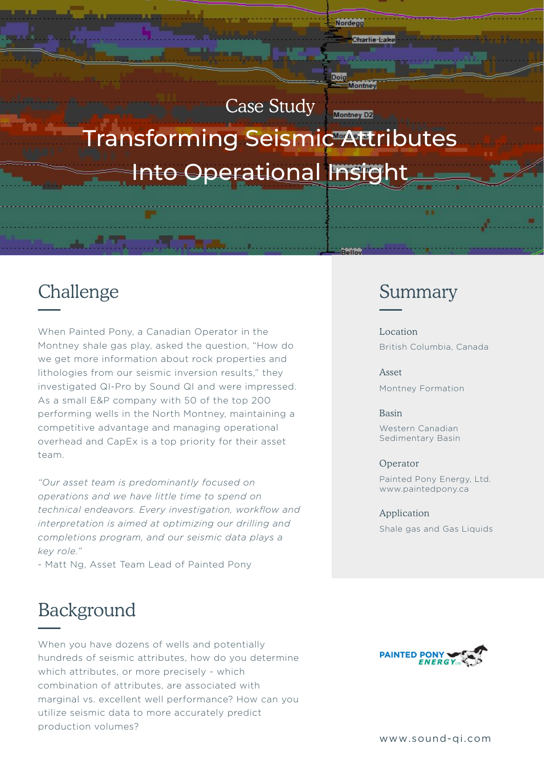# Case Study **Montney D2** Transforming Seismic Attributes Into Operational Insight

Nordegg

Doig

Charlie-Lake

Montney

Pello

## Challenge

When Painted Pony, a Canadian Operator in the Montney shale gas play, asked the question, "How do we get more information about rock properties and lithologies from our seismic inversion results," they investigated QI-Pro by Sound QI and were impressed. As a small E&P company with 50 of the top 200 performing wells in the North Montney, maintaining a competitive advantage and managing operational overhead and CapEx is a top priority for their asset team.

*"Our asset team is predominantly focused on operations and we have little time to spend on technical endeavors. Every investigation, workflow and interpretation is aimed at optimizing our drilling and completions program, and our seismic data plays a key role."*

- Matt Ng, Asset Team Lead of Painted Pony

### Background

When you have dozens of wells and potentially hundreds of seismic attributes, how do you determine which attributes, or more precisely - which combination of attributes, are associated with marginal vs. excellent well performance? How can you utilize seismic data to more accurately predict production volumes?

### Summary

Location British Columbia, Canada

Asset Montney Formation

#### Basin

Western Canadian Sedimentary Basin

#### Operator

Painted Pony Energy, Ltd. www.paintedpony.ca

Application Shale gas and Gas Liquids